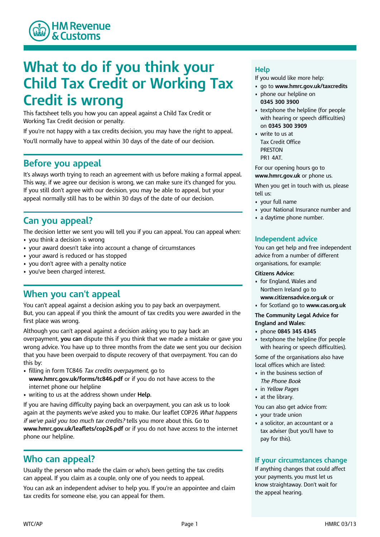

# **What to do if you think your Child Tax Credit or Working Tax Credit is wrong**

This factsheet tells you how you can appeal against a Child Tax Credit or Working Tax Credit decision or penalty.

If you're not happy with a tax credits decision, you may have the right to appeal. You'll normally have to appeal within 30 days of the date of our decision.

# **Before you appeal**

It's always worth trying to reach an agreement with us before making a formal appeal. This way, if we agree our decision is wrong, we can make sure it's changed for you. If you still don't agree with our decision, you may be able to appeal, but your appeal normally still has to be within 30 days of the date of our decision.

# **Can you appeal?**

The decision letter we sent you will tell you if you can appeal. You can appeal when:

- you think a decision is wrong
- your award doesn't take into account a change of circumstances
- your award is reduced or has stopped
- you don't agree with a penalty notice
- you've been charged interest.

# **When you can't appeal**

You can't appeal against a decision asking you to pay back an overpayment. But, you can appeal if you think the amount of tax credits you were awarded in the first place was wrong.

Although you can't appeal against a decision asking you to pay back an overpayment, **you can** dispute this if you think that we made a mistake or gave you wrong advice. You have up to three months from the date we sent you our decision that you have been overpaid to dispute recovery of that overpayment. You can do this by:

- • filling in form TC846 *Tax credits overpayment*, go to **www.hmrc.gov.uk/forms/tc846.pdf** or if you do not have access to the internet phone our helpline
- writing to us at the address shown under **Help**.

If you are having difficulty paying back an overpayment, you can ask us to look again at the payments we've asked you to make. Our leaflet COP26 *What happens if we've paid you too much tax credits?* tells you more about this. Go to **www.hmrc.gov.uk/leaflets/cop26.pdf** or if you do not have access to the internet phone our helpline.

### **Who can appeal?**

Usually the person who made the claim or who's been getting the tax credits can appeal. If you claim as a couple, only one of you needs to appeal.

You can ask an independent adviser to help you. If you're an appointee and claim tax credits for someone else, you can appeal for them.

### **Help**

If you would like more help:

- go to **www.hmrc.gov.uk/taxcredits**
- • phone our helpline on **0345 300 3900**
- • textphone the helpline (for people with hearing or speech difficulties) on **0345 300 3909**
- • write to us at Tax Credit Office PRESTON PR1  $\Delta AT$

For our opening hours go to **www.hmrc.gov.uk** or phone us.

When you get in touch with us, please tell us:

- your full name
- your National Insurance number and
- a daytime phone number.

#### **Independent advice**

You can get help and free independent advice from a number of different organisations, for example:

#### **Citizens Advice:**

- • for England, Wales and Northern Ireland go to **www.citizensadvice.org.uk** or
- for Scotland go to **www.cas.org.uk**

#### **The Community Legal Advice for England and Wales:**

- phone **0845 345 4345**
- • textphone the helpline (for people with hearing or speech difficulties).

Some of the organisations also have local offices which are listed:

- • in the business section of *The Phone Book*
- in *Yellow Pages*
- at the library.

You can also get advice from:

- your trade union
- • a solicitor, an accountant or a tax adviser (but you'll have to pay for this).

#### **If your circumstances change**

If anything changes that could affect your payments, you must let us know straightaway. Don't wait for the appeal hearing.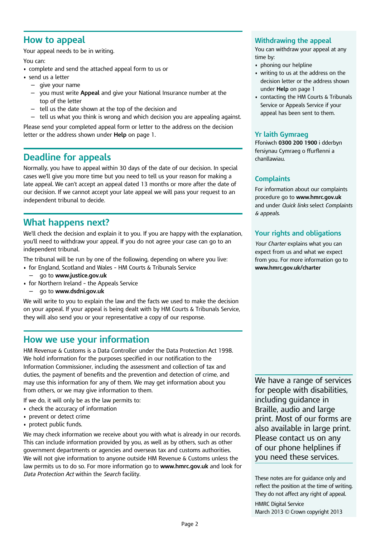### **How to appeal**

Your appeal needs to be in writing.

You can:

- complete and send the attached appeal form to us or
- send us a letter
	- $-$  give your name
	- you must write **Appeal** and give your National Insurance number at the top of the letter
	- $-$  tell us the date shown at the top of the decision and
- $-$  tell us what you think is wrong and which decision you are appealing against.

Please send your completed appeal form or letter to the address on the decision letter or the address shown under **Help** on page 1.

# **Deadline for appeals**

Normally, you have to appeal within 30 days of the date of our decision. In special cases we'll give you more time but you need to tell us your reason for making a late appeal. We can't accept an appeal dated 13 months or more after the date of our decision. If we cannot accept your late appeal we will pass your request to an independent tribunal to decide.

# **What happens next?**

We'll check the decision and explain it to you. If you are happy with the explanation, you'll need to withdraw your appeal. If you do not agree your case can go to an independent tribunal.

The tribunal will be run by one of the following, depending on where you live:

- for England, Scotland and Wales HM Courts & Tribunals Service
- — � go to **www.justice.gov.uk**
- for Northern Ireland the Appeals Service
	- go to **www.dsdni.gov.uk**

We will write to you to explain the law and the facts we used to make the decision on your appeal. If your appeal is being dealt with by HM Courts & Tribunals Service, they will also send you or your representative a copy of our response.

### **How we use your information**

HM Revenue & Customs is a Data Controller under the Data Protection Act 1998. We hold information for the purposes specified in our notification to the Information Commissioner, including the assessment and collection of tax and duties, the payment of benefits and the prevention and detection of crime, and may use this information for any of them. We may get information about you from others, or we may give information to them.

If we do, it will only be as the law permits to:

- check the accuracy of information
- prevent or detect crime
- protect public funds.

We may check information we receive about you with what is already in our records. This can include information provided by you, as well as by others, such as other government departments or agencies and overseas tax and customs authorities. We will not give information to anyone outside HM Revenue & Customs unless the law permits us to do so. For more information go to **www.hmrc.gov.uk** and look for *Data Protection Act* within the *Search* facility.

#### **Withdrawing the appeal**

You can withdraw your appeal at any time by:

- phoning our helpline
- • writing to us at the address on the decision letter or the address shown under **Help** on page 1
- • contacting the HM Courts & Tribunals Service or Appeals Service if your appeal has been sent to them.

#### **Yr laith Gymraeg**

Ffoniwch **0300 200 1900** i dderbyn fersiynau Cymraeg o ffurflenni a chanllawiau.

#### **Complaints**

For information about our complaints procedure go to **www.hmrc.gov.uk**  and under *Quick links* select *Complaints & appeals*.

### **Your rights and obligations**

*Your Charter* explains what you can expect from us and what we expect from you. For more information go to **www.hmrc.gov.uk/charter** 

We have a range of services for people with disabilities, including guidance in Braille, audio and large print. Most of our forms are also available in large print. Please contact us on any of our phone helplines if you need these services.

 These notes are for guidance only and reflect the position at the time of writing. They do not affect any right of appeal. HMRC Digital Service March 2013 © Crown copyright 2013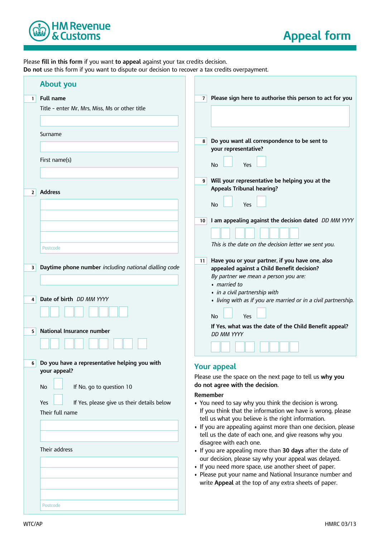

Please **fill in this form** if you want **to appeal** against your tax credits decision. **Do not** use this form if you want to dispute our decision to recover a tax credits overpayment. �

|                | <b>About you</b>                                                                                                                                                                                |                                                                                                                                                                                                                                                                                                                                                                                                                                                                                                                                 |
|----------------|-------------------------------------------------------------------------------------------------------------------------------------------------------------------------------------------------|---------------------------------------------------------------------------------------------------------------------------------------------------------------------------------------------------------------------------------------------------------------------------------------------------------------------------------------------------------------------------------------------------------------------------------------------------------------------------------------------------------------------------------|
| $1\vert$       | <b>Full name</b>                                                                                                                                                                                | Please sign here to authorise this person to act for you<br>$\overline{7}$                                                                                                                                                                                                                                                                                                                                                                                                                                                      |
|                | Title - enter Mr, Mrs, Miss, Ms or other title                                                                                                                                                  |                                                                                                                                                                                                                                                                                                                                                                                                                                                                                                                                 |
|                | Surname                                                                                                                                                                                         | Do you want all correspondence to be sent to<br>8<br>your representative?                                                                                                                                                                                                                                                                                                                                                                                                                                                       |
|                | First name(s)                                                                                                                                                                                   | No<br>Yes                                                                                                                                                                                                                                                                                                                                                                                                                                                                                                                       |
| 2 <sup>1</sup> | <b>Address</b>                                                                                                                                                                                  | Will your representative be helping you at the<br>9 <sup>1</sup><br><b>Appeals Tribunal hearing?</b><br><b>No</b><br>Yes                                                                                                                                                                                                                                                                                                                                                                                                        |
|                |                                                                                                                                                                                                 | I am appealing against the decision dated DD MM YYYY<br>10<br>This is the date on the decision letter we sent you.                                                                                                                                                                                                                                                                                                                                                                                                              |
| 3.             | Postcode<br>Daytime phone number including national dialling code                                                                                                                               | Have you or your partner, if you have one, also<br>11<br>appealed against a Child Benefit decision?<br>By partner we mean a person you are:<br>· married to                                                                                                                                                                                                                                                                                                                                                                     |
| 4<br>5.        | Date of birth DD MM YYYY<br>National Insurance number                                                                                                                                           | · in a civil partnership with<br>· living with as if you are married or in a civil partnership.<br>Yes<br>No<br>If Yes, what was the date of the Child Benefit appeal?<br><b>DD MM YYYY</b>                                                                                                                                                                                                                                                                                                                                     |
|                |                                                                                                                                                                                                 |                                                                                                                                                                                                                                                                                                                                                                                                                                                                                                                                 |
| 6 <sup>1</sup> | Do you have a representative helping you with<br>your appeal?<br>If No, go to question 10<br><b>No</b><br>If Yes, please give us their details below<br>Yes<br>Their full name<br>Their address | <b>Your appeal</b><br>Please use the space on the next page to tell us why you<br>do not agree with the decision.<br>Remember<br>• You need to say why you think the decision is wrong.<br>If you think that the information we have is wrong, please<br>tell us what you believe is the right information.<br>• If you are appealing against more than one decision, please<br>tell us the date of each one, and give reasons why you<br>disagree with each one.<br>• If you are appealing more than 30 days after the date of |
|                | Postcode                                                                                                                                                                                        | our decision, please say why your appeal was delayed.<br>• If you need more space, use another sheet of paper.<br>• Please put your name and National Insurance number and<br>write Appeal at the top of any extra sheets of paper.                                                                                                                                                                                                                                                                                             |
|                |                                                                                                                                                                                                 |                                                                                                                                                                                                                                                                                                                                                                                                                                                                                                                                 |